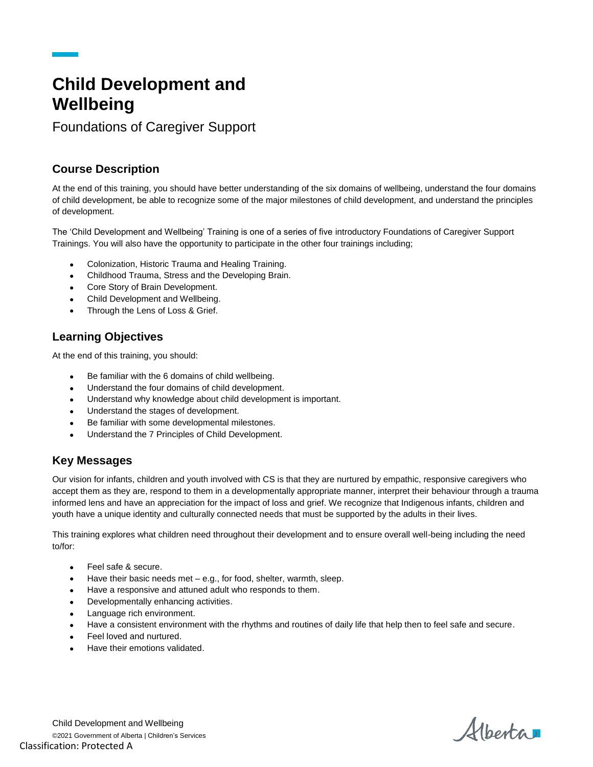# **Child Development and Wellbeing**

Foundations of Caregiver Support

## **Course Description**

At the end of this training, you should have better understanding of the six domains of wellbeing, understand the four domains of child development, be able to recognize some of the major milestones of child development, and understand the principles of development.

The 'Child Development and Wellbeing' Training is one of a series of five introductory Foundations of Caregiver Support Trainings. You will also have the opportunity to participate in the other four trainings including;

- Colonization, Historic Trauma and Healing Training.
- Childhood Trauma, Stress and the Developing Brain.
- Core Story of Brain Development.
- Child Development and Wellbeing.
- Through the Lens of Loss & Grief.

#### **Learning Objectives**

At the end of this training, you should:

- Be familiar with the 6 domains of child wellbeing.
- Understand the four domains of child development.
- Understand why knowledge about child development is important.
- Understand the stages of development.
- Be familiar with some developmental milestones.
- Understand the 7 Principles of Child Development.

## **Key Messages**

Our vision for infants, children and youth involved with CS is that they are nurtured by empathic, responsive caregivers who accept them as they are, respond to them in a developmentally appropriate manner, interpret their behaviour through a trauma informed lens and have an appreciation for the impact of loss and grief. We recognize that Indigenous infants, children and youth have a unique identity and culturally connected needs that must be supported by the adults in their lives.

This training explores what children need throughout their development and to ensure overall well-being including the need to/for:

- Feel safe & secure.
- Have their basic needs met e.g., for food, shelter, warmth, sleep.
- Have a responsive and attuned adult who responds to them.
- Developmentally enhancing activities.
- Language rich environment.
- Have a consistent environment with the rhythms and routines of daily life that help then to feel safe and secure.
- Feel loved and nurtured.
- Have their emotions validated.

Child Development and Wellbeing ©2021 Government of Alberta | Children's Services Classification: Protected A

Albertar